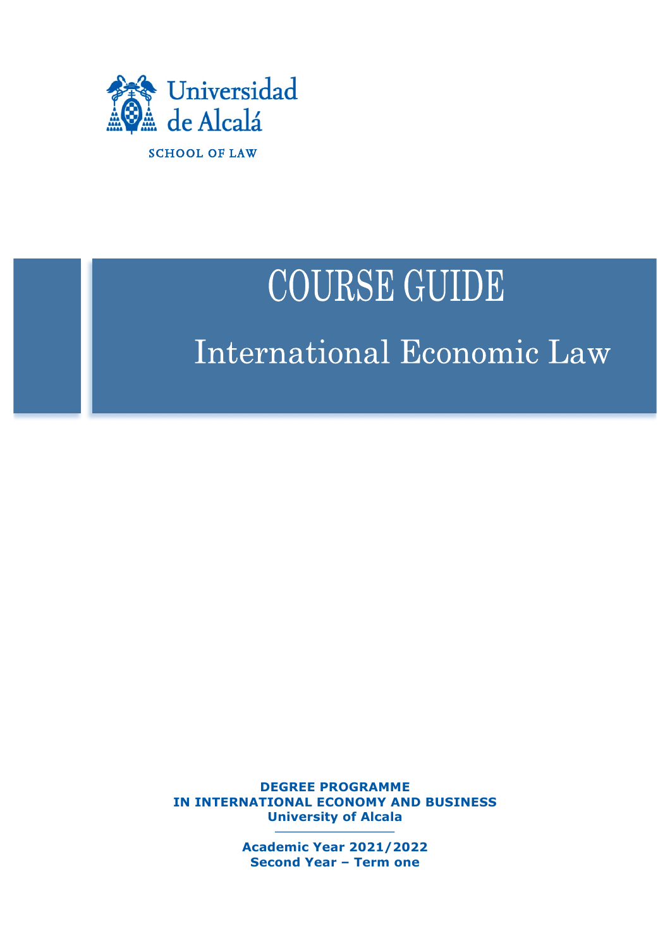

# **COURSE GUIDE** International Economic Law

**DEGREE PROGRAMME IN INTERNATIONAL ECONOMY AND BUSINESS University of Alcala**

> **Academic Year 2021/2022 Second Year – Term one**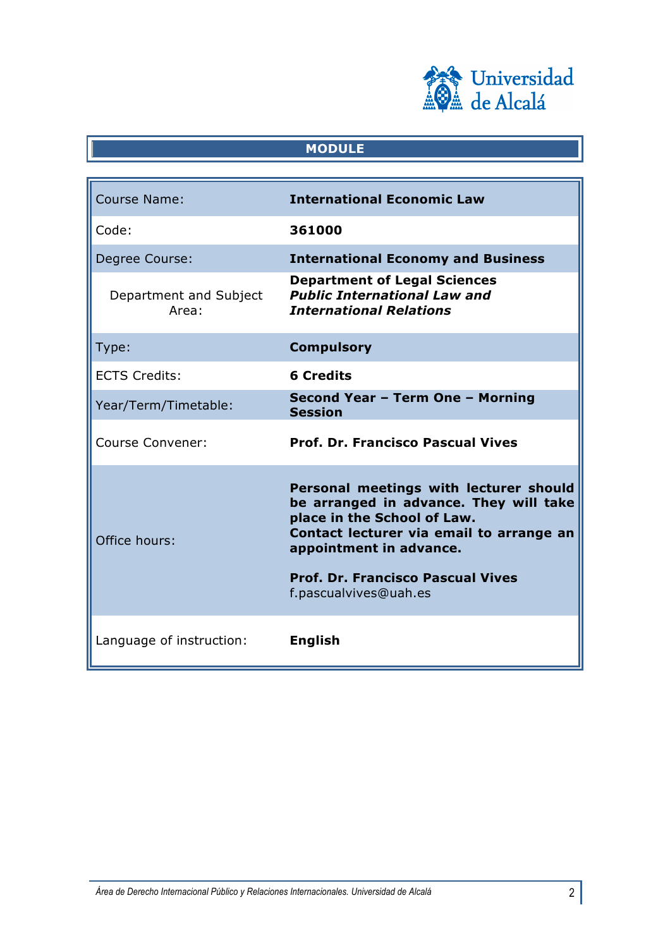

## **MODULE**

| <b>Course Name:</b>             | <b>International Economic Law</b>                                                                                                                                                                                                                           |
|---------------------------------|-------------------------------------------------------------------------------------------------------------------------------------------------------------------------------------------------------------------------------------------------------------|
| Code:                           | 361000                                                                                                                                                                                                                                                      |
| Degree Course:                  | <b>International Economy and Business</b>                                                                                                                                                                                                                   |
| Department and Subject<br>Area: | <b>Department of Legal Sciences</b><br><b>Public International Law and</b><br><b>International Relations</b>                                                                                                                                                |
| Type:                           | <b>Compulsory</b>                                                                                                                                                                                                                                           |
| <b>ECTS Credits:</b>            | <b>6 Credits</b>                                                                                                                                                                                                                                            |
| Year/Term/Timetable:            | Second Year - Term One - Morning<br><b>Session</b>                                                                                                                                                                                                          |
| <b>Course Convener:</b>         | <b>Prof. Dr. Francisco Pascual Vives</b>                                                                                                                                                                                                                    |
| Office hours:                   | Personal meetings with lecturer should<br>be arranged in advance. They will take<br>place in the School of Law.<br>Contact lecturer via email to arrange an<br>appointment in advance.<br><b>Prof. Dr. Francisco Pascual Vives</b><br>f.pascualvives@uah.es |
| Language of instruction:        | <b>English</b>                                                                                                                                                                                                                                              |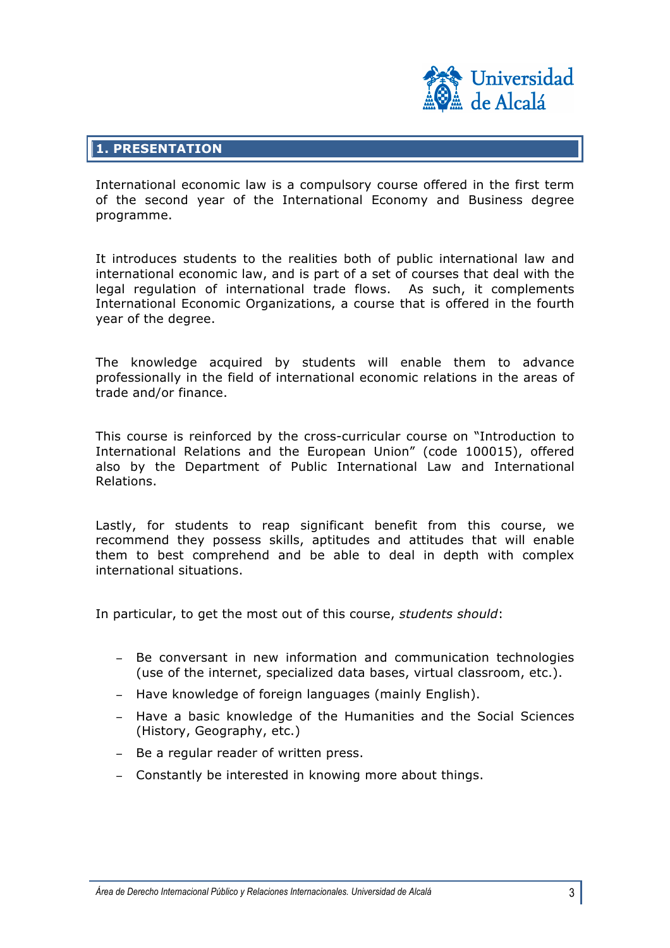

## **1. PRESENTATION**

International economic law is a compulsory course offered in the first term of the second year of the International Economy and Business degree programme.

It introduces students to the realities both of public international law and international economic law, and is part of a set of courses that deal with the legal regulation of international trade flows. As such, it complements International Economic Organizations, a course that is offered in the fourth year of the degree.

The knowledge acquired by students will enable them to advance professionally in the field of international economic relations in the areas of trade and/or finance.

This course is reinforced by the cross-curricular course on "Introduction to International Relations and the European Union" (code 100015), offered also by the Department of Public International Law and International Relations.

Lastly, for students to reap significant benefit from this course, we recommend they possess skills, aptitudes and attitudes that will enable them to best comprehend and be able to deal in depth with complex international situations.

In particular, to get the most out of this course, *students should*:

- Be conversant in new information and communication technologies (use of the internet, specialized data bases, virtual classroom, etc.).
- − Have knowledge of foreign languages (mainly English).
- − Have a basic knowledge of the Humanities and the Social Sciences (History, Geography, etc.)
- − Be a regular reader of written press.
- − Constantly be interested in knowing more about things.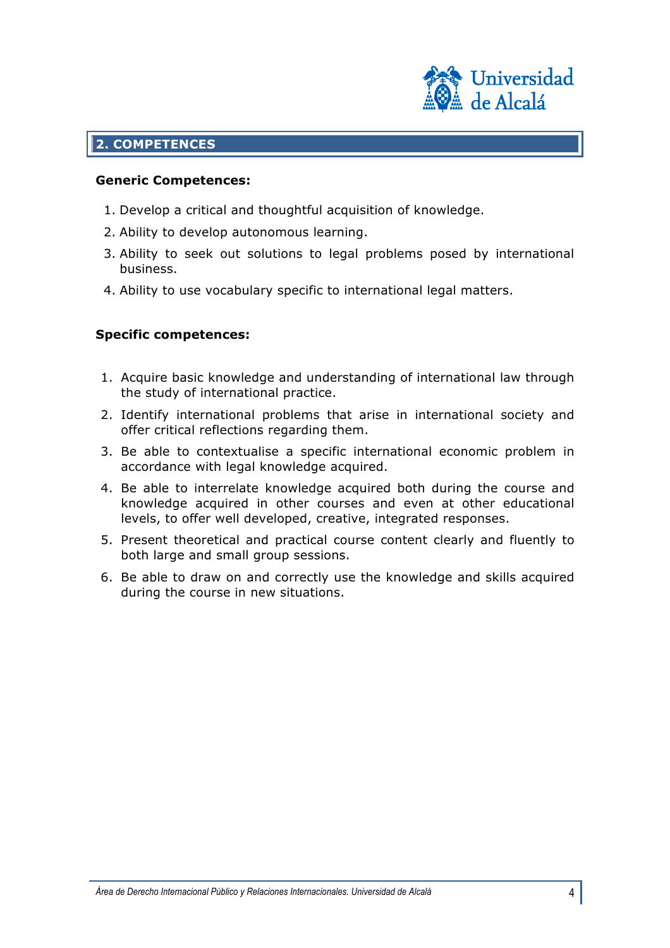

## **2. COMPETENCES**

#### **Generic Competences:**

- 1. Develop a critical and thoughtful acquisition of knowledge.
- 2. Ability to develop autonomous learning.
- 3. Ability to seek out solutions to legal problems posed by international business.
- 4. Ability to use vocabulary specific to international legal matters.

### **Specific competences:**

- 1. Acquire basic knowledge and understanding of international law through the study of international practice.
- 2. Identify international problems that arise in international society and offer critical reflections regarding them.
- 3. Be able to contextualise a specific international economic problem in accordance with legal knowledge acquired.
- 4. Be able to interrelate knowledge acquired both during the course and knowledge acquired in other courses and even at other educational levels, to offer well developed, creative, integrated responses.
- 5. Present theoretical and practical course content clearly and fluently to both large and small group sessions.
- 6. Be able to draw on and correctly use the knowledge and skills acquired during the course in new situations.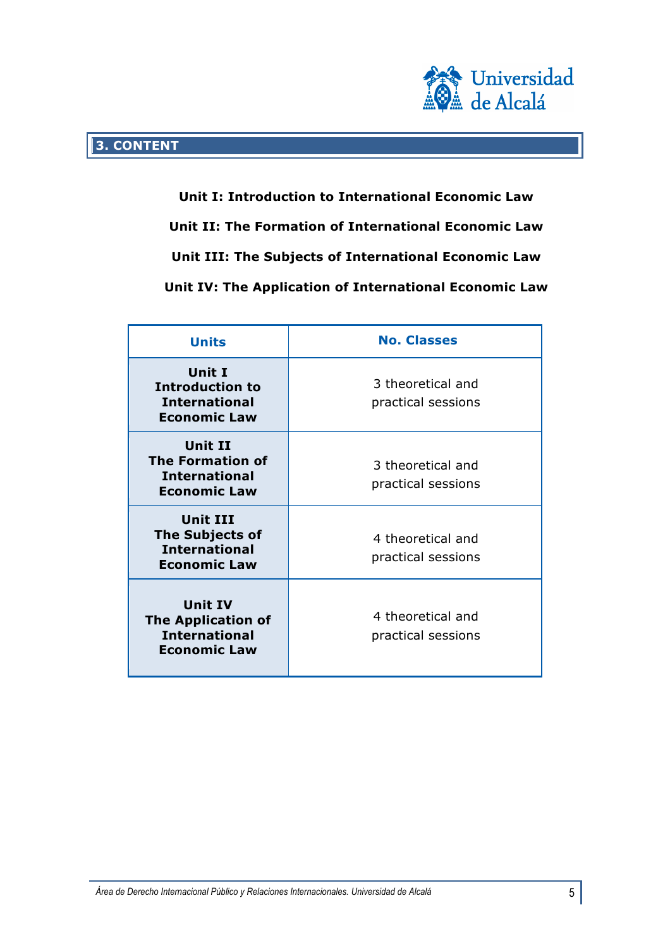

**Unit I: Introduction to International Economic Law Unit II: The Formation of International Economic Law Unit III: The Subjects of International Economic Law Unit IV: The Application of International Economic Law**

| <b>Units</b>                                                                               | <b>No. Classes</b>                      |
|--------------------------------------------------------------------------------------------|-----------------------------------------|
| Unit I<br><b>Introduction to</b><br><b>International</b><br><b>Economic Law</b>            | 3 theoretical and<br>practical sessions |
| <b>Unit II</b><br><b>The Formation of</b><br><b>International</b><br><b>Economic Law</b>   | 3 theoretical and<br>practical sessions |
| Unit III<br><b>The Subjects of</b><br><b>International</b><br><b>Economic Law</b>          | 4 theoretical and<br>practical sessions |
| <b>Unit IV</b><br><b>The Application of</b><br><b>International</b><br><b>Economic Law</b> | 4 theoretical and<br>practical sessions |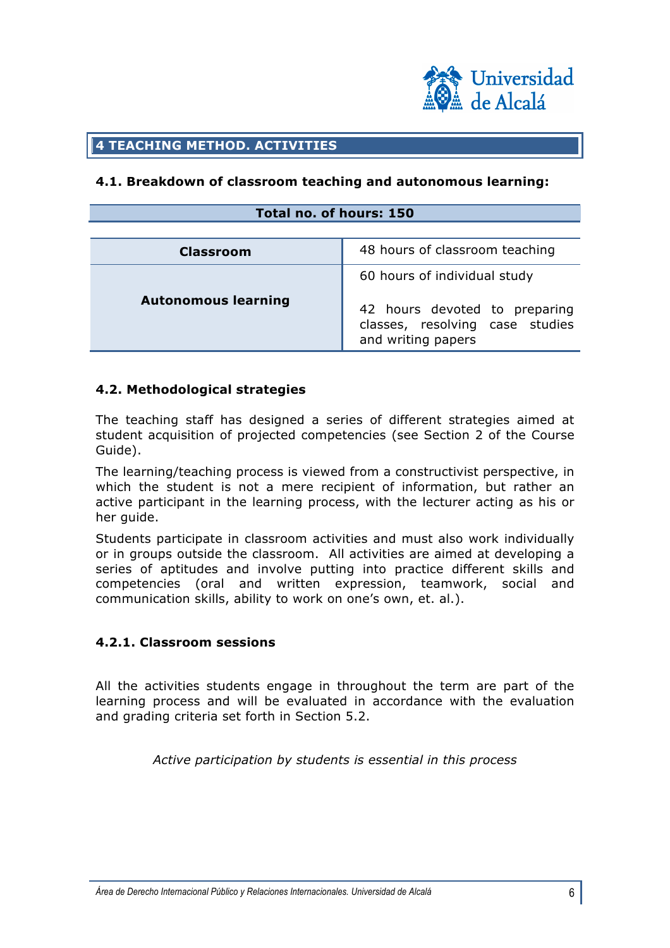

## **4 TEACHING METHOD. ACTIVITIES**

#### **4.1. Breakdown of classroom teaching and autonomous learning:**

### **Total no. of hours: 150**

| <b>Classroom</b>           | 48 hours of classroom teaching                                                                                         |
|----------------------------|------------------------------------------------------------------------------------------------------------------------|
| <b>Autonomous learning</b> | 60 hours of individual study<br>42 hours devoted to preparing<br>classes, resolving case studies<br>and writing papers |

#### **4.2. Methodological strategies**

The teaching staff has designed a series of different strategies aimed at student acquisition of projected competencies (see Section 2 of the Course Guide).

The learning/teaching process is viewed from a constructivist perspective, in which the student is not a mere recipient of information, but rather an active participant in the learning process, with the lecturer acting as his or her guide.

Students participate in classroom activities and must also work individually or in groups outside the classroom. All activities are aimed at developing a series of aptitudes and involve putting into practice different skills and competencies (oral and written expression, teamwork, social and communication skills, ability to work on one's own, et. al.).

## **4.2.1. Classroom sessions**

All the activities students engage in throughout the term are part of the learning process and will be evaluated in accordance with the evaluation and grading criteria set forth in Section 5.2.

*Active participation by students is essential in this process*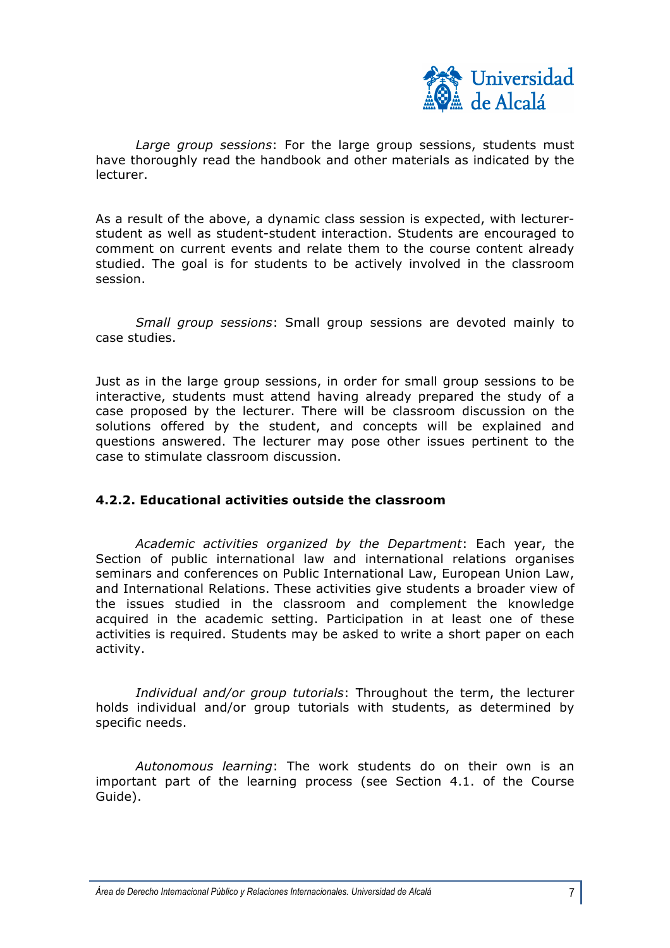

*Large group sessions*: For the large group sessions, students must have thoroughly read the handbook and other materials as indicated by the lecturer.

As a result of the above, a dynamic class session is expected, with lecturerstudent as well as student-student interaction. Students are encouraged to comment on current events and relate them to the course content already studied. The goal is for students to be actively involved in the classroom session.

*Small group sessions*: Small group sessions are devoted mainly to case studies.

Just as in the large group sessions, in order for small group sessions to be interactive, students must attend having already prepared the study of a case proposed by the lecturer. There will be classroom discussion on the solutions offered by the student, and concepts will be explained and questions answered. The lecturer may pose other issues pertinent to the case to stimulate classroom discussion.

## **4.2.2. Educational activities outside the classroom**

*Academic activities organized by the Department*: Each year, the Section of public international law and international relations organises seminars and conferences on Public International Law, European Union Law, and International Relations. These activities give students a broader view of the issues studied in the classroom and complement the knowledge acquired in the academic setting. Participation in at least one of these activities is required. Students may be asked to write a short paper on each activity.

*Individual and/or group tutorials*: Throughout the term, the lecturer holds individual and/or group tutorials with students, as determined by specific needs.

*Autonomous learning*: The work students do on their own is an important part of the learning process (see Section 4.1. of the Course Guide).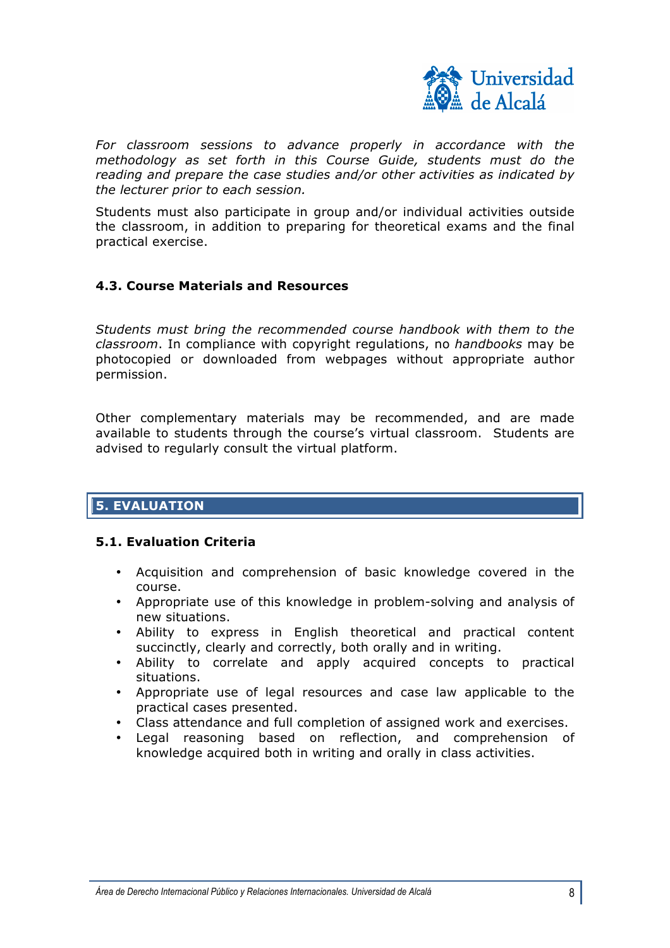

*For classroom sessions to advance properly in accordance with the methodology as set forth in this Course Guide, students must do the reading and prepare the case studies and/or other activities as indicated by the lecturer prior to each session.*

Students must also participate in group and/or individual activities outside the classroom, in addition to preparing for theoretical exams and the final practical exercise.

## **4.3. Course Materials and Resources**

*Students must bring the recommended course handbook with them to the classroom*. In compliance with copyright regulations, no *handbooks* may be photocopied or downloaded from webpages without appropriate author permission.

Other complementary materials may be recommended, and are made available to students through the course's virtual classroom. Students are advised to regularly consult the virtual platform.

## **5. EVALUATION**

#### **5.1. Evaluation Criteria**

- Acquisition and comprehension of basic knowledge covered in the course.
- Appropriate use of this knowledge in problem-solving and analysis of new situations.
- Ability to express in English theoretical and practical content succinctly, clearly and correctly, both orally and in writing.
- Ability to correlate and apply acquired concepts to practical situations.
- Appropriate use of legal resources and case law applicable to the practical cases presented.
- Class attendance and full completion of assigned work and exercises.
- Legal reasoning based on reflection, and comprehension of knowledge acquired both in writing and orally in class activities.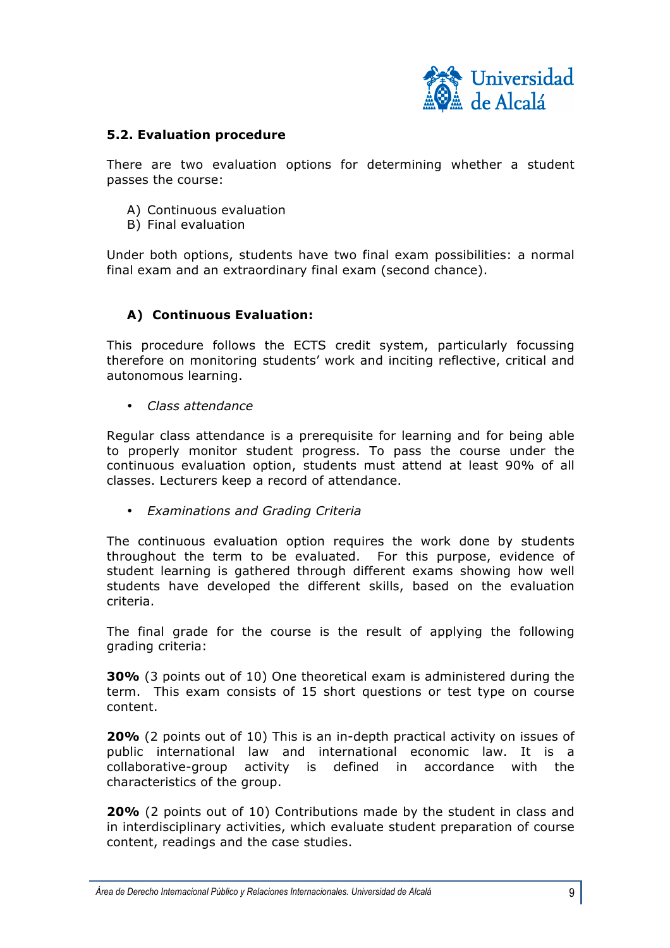

## **5.2. Evaluation procedure**

There are two evaluation options for determining whether a student passes the course:

- A) Continuous evaluation
- B) Final evaluation

Under both options, students have two final exam possibilities: a normal final exam and an extraordinary final exam (second chance).

## **A) Continuous Evaluation:**

This procedure follows the ECTS credit system, particularly focussing therefore on monitoring students' work and inciting reflective, critical and autonomous learning.

• *Class attendance* 

Regular class attendance is a prerequisite for learning and for being able to properly monitor student progress. To pass the course under the continuous evaluation option, students must attend at least 90% of all classes. Lecturers keep a record of attendance.

• *Examinations and Grading Criteria* 

The continuous evaluation option requires the work done by students throughout the term to be evaluated. For this purpose, evidence of student learning is gathered through different exams showing how well students have developed the different skills, based on the evaluation criteria.

The final grade for the course is the result of applying the following grading criteria:

**30%** (3 points out of 10) One theoretical exam is administered during the term. This exam consists of 15 short questions or test type on course content.

**20%** (2 points out of 10) This is an in-depth practical activity on issues of public international law and international economic law. It is a collaborative-group activity is defined in accordance with the characteristics of the group.

**20%** (2 points out of 10) Contributions made by the student in class and in interdisciplinary activities, which evaluate student preparation of course content, readings and the case studies.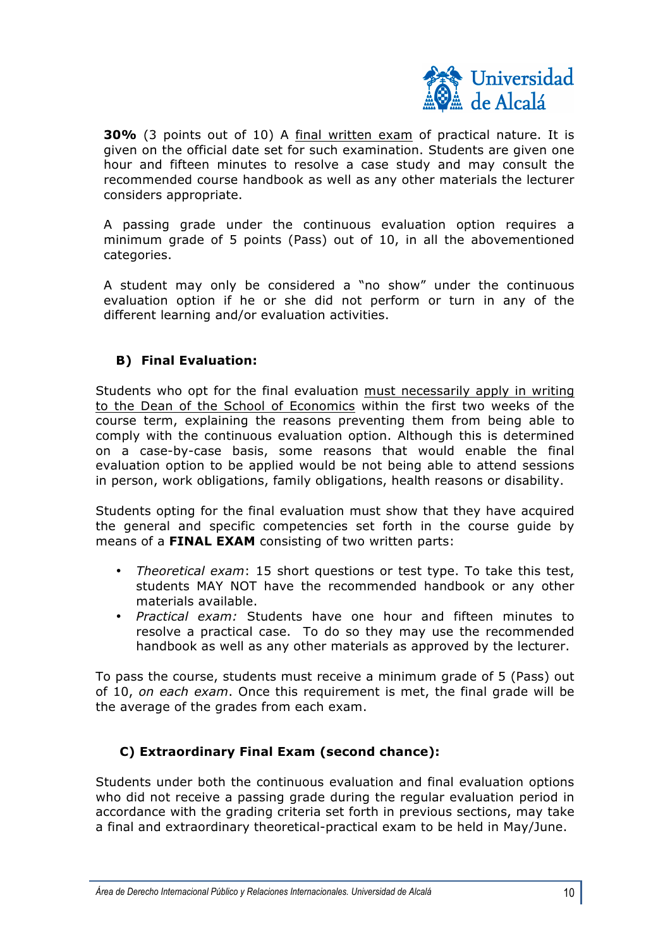

**30%** (3 points out of 10) A final written exam of practical nature. It is given on the official date set for such examination. Students are given one hour and fifteen minutes to resolve a case study and may consult the recommended course handbook as well as any other materials the lecturer considers appropriate.

A passing grade under the continuous evaluation option requires a minimum grade of 5 points (Pass) out of 10, in all the abovementioned categories.

A student may only be considered a "no show" under the continuous evaluation option if he or she did not perform or turn in any of the different learning and/or evaluation activities.

## **B) Final Evaluation:**

Students who opt for the final evaluation must necessarily apply in writing to the Dean of the School of Economics within the first two weeks of the course term, explaining the reasons preventing them from being able to comply with the continuous evaluation option. Although this is determined on a case-by-case basis, some reasons that would enable the final evaluation option to be applied would be not being able to attend sessions in person, work obligations, family obligations, health reasons or disability.

Students opting for the final evaluation must show that they have acquired the general and specific competencies set forth in the course guide by means of a **FINAL EXAM** consisting of two written parts:

- *Theoretical exam*: 15 short questions or test type. To take this test, students MAY NOT have the recommended handbook or any other materials available.
- *Practical exam:* Students have one hour and fifteen minutes to resolve a practical case. To do so they may use the recommended handbook as well as any other materials as approved by the lecturer.

To pass the course, students must receive a minimum grade of 5 (Pass) out of 10, *on each exam*. Once this requirement is met, the final grade will be the average of the grades from each exam.

## **C) Extraordinary Final Exam (second chance):**

Students under both the continuous evaluation and final evaluation options who did not receive a passing grade during the regular evaluation period in accordance with the grading criteria set forth in previous sections, may take a final and extraordinary theoretical-practical exam to be held in May/June.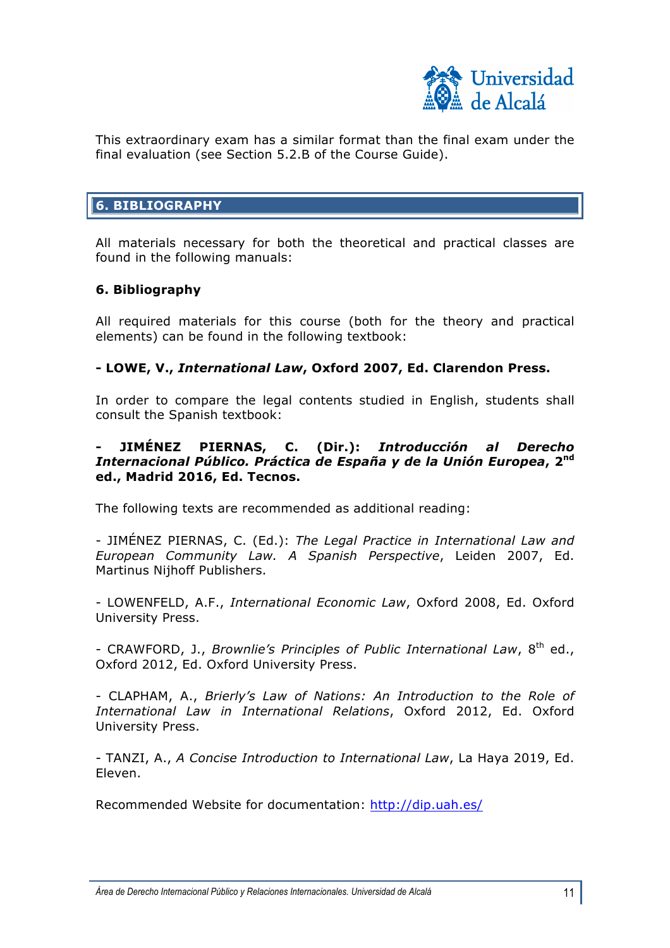

This extraordinary exam has a similar format than the final exam under the final evaluation (see Section 5.2.B of the Course Guide).

## **6. BIBLIOGRAPHY**

All materials necessary for both the theoretical and practical classes are found in the following manuals:

## **6. Bibliography**

All required materials for this course (both for the theory and practical elements) can be found in the following textbook:

### **- LOWE, V.,** *International Law***, Oxford 2007, Ed. Clarendon Press.**

In order to compare the legal contents studied in English, students shall consult the Spanish textbook:

### **- JIMÉNEZ PIERNAS, C. (Dir.):** *Introducción al Derecho Internacional Público. Práctica de España y de la Unión Europea***, 2nd ed., Madrid 2016, Ed. Tecnos.**

The following texts are recommended as additional reading:

- JIMÉNEZ PIERNAS, C. (Ed.): *The Legal Practice in International Law and European Community Law. A Spanish Perspective*, Leiden 2007, Ed. Martinus Nijhoff Publishers.

- LOWENFELD, A.F., *International Economic Law*, Oxford 2008, Ed. Oxford University Press.

- CRAWFORD, J., *Brownlie's Principles of Public International Law,* 8<sup>th</sup> ed., Oxford 2012, Ed. Oxford University Press.

- CLAPHAM, A., *Brierly's Law of Nations: An Introduction to the Role of International Law in International Relations*, Oxford 2012, Ed. Oxford University Press.

- TANZI, A., *A Concise Introduction to International Law*, La Haya 2019, Ed. Eleven.

Recommended Website for documentation: http://dip.uah.es/